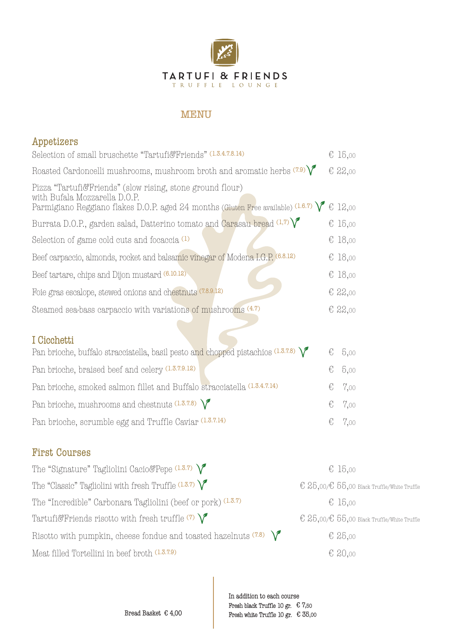

## MENU

| Appetizers                                                                                                                                                                                               |   |                                                        |
|----------------------------------------------------------------------------------------------------------------------------------------------------------------------------------------------------------|---|--------------------------------------------------------|
| Selection of small bruschette "Tartufi&Friends" (1.3.4.7.8.14)                                                                                                                                           |   | € 15,00                                                |
| Roasted Cardoncelli mushrooms, mushroom broth and aromatic herbs $(7.9)\sqrt{ }$                                                                                                                         |   | € 22,00                                                |
| Pizza "Tartufi&Friends" (slow rising, stone ground flour)<br>with Bufala Mozzarella D.O.P.<br>Parmigiano Reggiano flakes D.O.P. aged 24 months (Gluten Free available) $(1.6.7)$ $\sqrt{\epsilon}$ 12,00 |   |                                                        |
| Burrata D.O.P., garden salad, Datterino tomato and Carasau bread $(1,7)$                                                                                                                                 |   | € 15,00                                                |
| Selection of game cold cuts and focaccia <sup>(1)</sup>                                                                                                                                                  |   | € 18,00                                                |
| Beef carpaccio, almonds, rocket and balsamic vinegar of Modena I.G.P. (6.8.12)                                                                                                                           |   | € 18,00                                                |
| Beef tartare, chips and Dijon mustard (6.10.12)                                                                                                                                                          |   | € 18,00                                                |
| Foie gras escalope, stewed onions and chestnuts (7.8.9.12)                                                                                                                                               |   | € 22,00                                                |
| Steamed sea-bass carpaccio with variations of mushrooms (4.7)                                                                                                                                            |   | $E$ 22,00                                              |
| I Cicchetti<br>Pan brioche, buffalo stracciatella, basil pesto and chopped pistachios $(1.3.7.8)$                                                                                                        | € | 5,00                                                   |
| Pan brioche, braised beef and celery (1.3.7.9.12)                                                                                                                                                        | € | 5,00                                                   |
| Pan brioche, smoked salmon fillet and Buffalo stracciatella (1.3.4.7.14)                                                                                                                                 | € | 7,00                                                   |
| Pan brioche, mushrooms and chestnuts $(1.3.7.8)$                                                                                                                                                         | € | 7,00                                                   |
| Pan brioche, scrumble egg and Truffle Caviar (1.3.7.14)                                                                                                                                                  | € | 7,00                                                   |
| <b>First Courses</b>                                                                                                                                                                                     |   |                                                        |
| The "Signature" Tagliolini Cacio&Pepe $(1.3.7)$                                                                                                                                                          |   | € 15,00                                                |
| The "Classic" Tagliolini with fresh Truffle $(1.3.7)$                                                                                                                                                    |   | $\in 25,00/\epsilon 55,00$ Black Truffle/White Truffle |
| The "Incredible" Carbonara Tagliolini (beef or pork) (1.3.7)                                                                                                                                             |   | € 15,00                                                |
| Tartufi&Friends risotto with fresh truffle $(7)$                                                                                                                                                         |   | € 25,00/€ 55,00 Black Truffle/White Truffle            |

Meat filled Tortellini in beef broth  $(1.3.7.9)$   $\qquad \qquad \in 20,00$ 

In addition to each course Fresh black Truffle 10 gr.  $\in 7,50$ Bread Basket  $\epsilon$  4,00 Fresh white Truffle 10 gr.  $\epsilon$  35,00

Risotto with pumpkin, cheese fondue and toasted hazelnuts  $(7.8)$   $\sqrt{\phantom{0}}$   $\in$  25,00